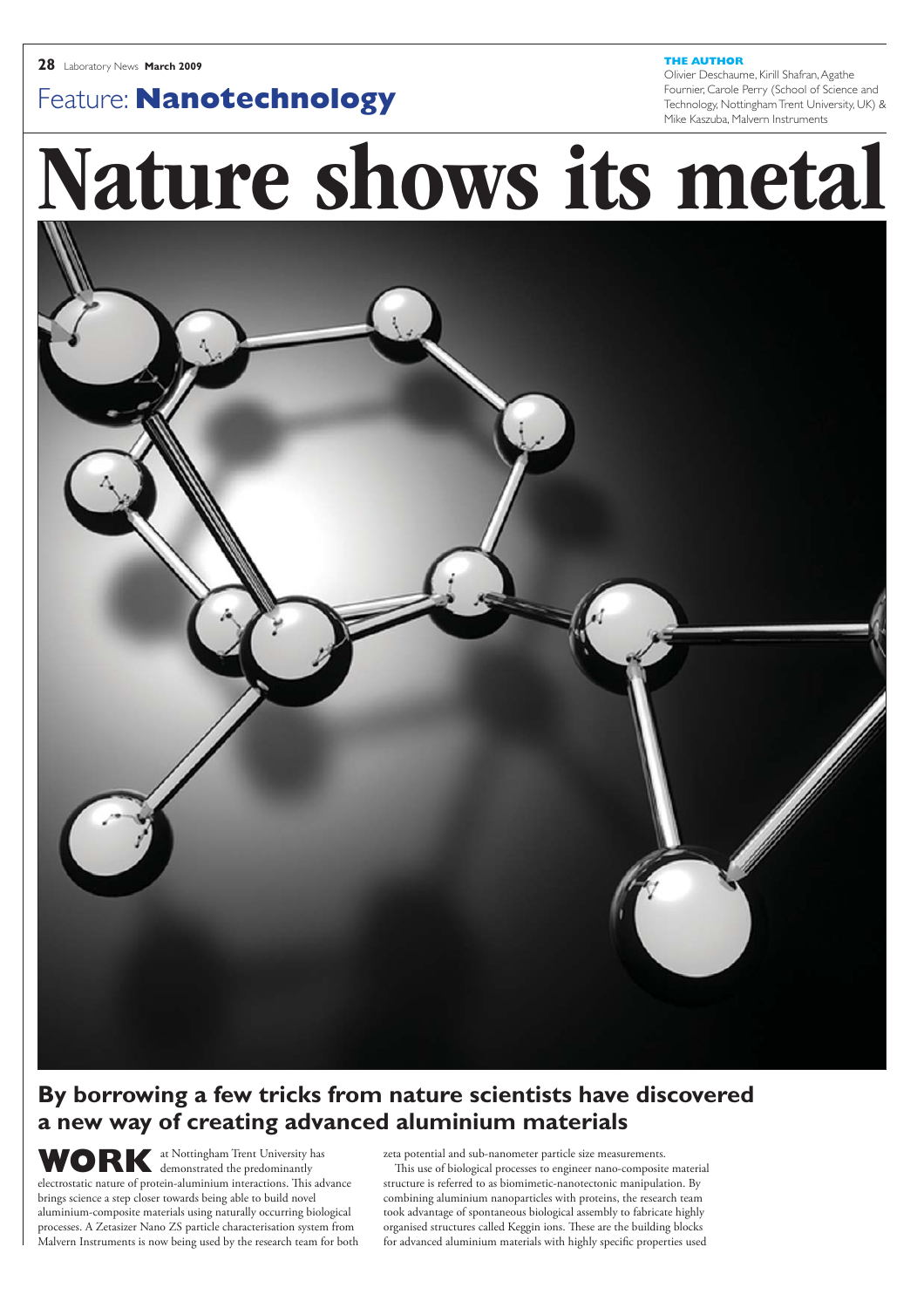**THE AUTHOR** Olivier Deschaume, Kirill Shafran, Agathe Fournier, Carole Perry (School of Science and Technology, Nottingham Trent University, UK) & Mike Kaszuba, Malvern Instruments

# Feature: **Nanotechnology**

# Nature shows its metal



### **By borrowing a few tricks from nature scientists have discovered a new way of creating advanced aluminium materials**

**WORK** at Nottingham Trent University has<br>electrostatic nature of protein-aluminium interactions. This adv<br>brings science a step closer towards being able to build novel demonstrated the predominantly electrostatic nature of protein-aluminium interactions. This advance brings science a step closer towards being able to build novel aluminium-composite materials using naturally occurring biological processes. A Zetasizer Nano ZS particle characterisation system from Malvern Instruments is now being used by the research team for both

zeta potential and sub-nanometer particle size measurements. This use of biological processes to engineer nano-composite material structure is referred to as biomimetic-nanotectonic manipulation. By combining aluminium nanoparticles with proteins, the research team took advantage of spontaneous biological assembly to fabricate highly organised structures called Keggin ions. These are the building blocks for advanced aluminium materials with highly specific properties used